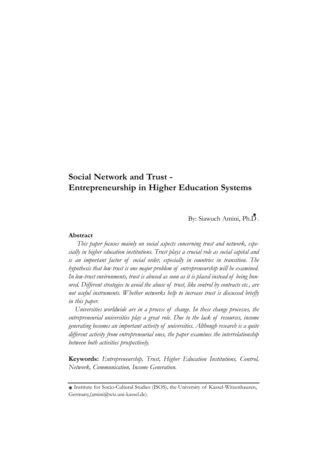# **Social Network and Trust - Entrepreneurship in Higher Education Systems**

By: Siawuch Amini, Ph.D . **\***

### **Abstract**

*This paper focuses mainly on social aspects concerning trust and network, especially in higher education institutions. Trust plays a crucial role as social capital and is an important factor of social order, especially in countries in transition. The hypothesis that low trust is one major problem of entrepreneurship will be examined. In low-trust environments, trust is abused as soon as it is placed instead of being honored. Different strategies to avoid the abuse of trust, like control by contracts etc., are not useful instruments. Whether networks help to increase trust is discussed briefly in this paper.*

*Universities worldwide are in a process of change. In these change processes, the entrepreneurial universities play a great role. Due to the lack of resources, income generating becomes an important activity of universities. Although research is a quite different activity from entrepreneurial ones, the paper examines the interrelationship between both activities prospectively.*

**Keywords:** *Entrepreneurship, Trust, Higher Education Institutions, Control, Network, Communication, Income Generation.*

**<sup>\*</sup>** Institute for Socio-Cultural Studies (ISOS), the University of Kassel-Witzenhausen, Germany,(amini@wiz.uni-kassel.de).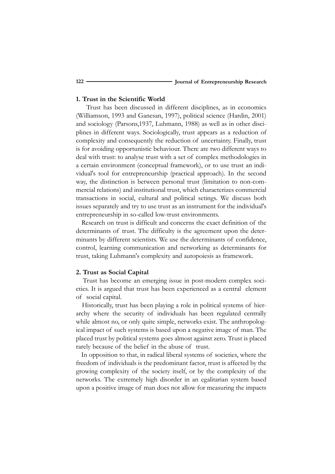#### **1. Trust in the Scientific World**

Trust has been discussed in different disciplines, as in economics (Williamson, 1993 and Ganesan, 1997), political science (Hardin, 2001) and sociology (Parsons,1937, Luhmann, 1988) as well as in other disciplines in different ways. Sociologically, trust appears as a reduction of complexity and consequently the reduction of uncertainty. Finally, trust is for avoiding opportunistic behaviour. There are two different ways to deal with trust: to analyse trust with a set of complex methodologies in a certain environment (conceptual framework), or to use trust an individual's tool for entrepreneurship (practical approach). In the second way, the distinction is between personal trust (limitation to non-commercial relations) and institutional trust, which characterizes commercial transactions in social, cultural and political setings. We discuss both issues separately and try to use trust as an instrument for the individual's entrepreneurship in so-called low-trust environments.

Research on trust is difficult and concerns the exact definition of the determinants of trust. The difficulty is the agreement upon the determinants by different scientists. We use the determinants of confidence, control, learning communication and networking as determinants for trust, taking Luhmann's complexity and autopoiesis as framework.

#### **2. Trust as Social Capital**

Trust has become an emerging issue in post-modern complex societies. It is argued that trust has been experienced as a central element of social capital.

Historically, trust has been playing a role in political systems of hierarchy where the security of individuals has been regulated centrally while almost no, or only quite simple, networks exist. The anthropological impact of such systems is based upon a negative image of man. The placed trust by political systems goes almost against zero. Trust is placed rarely because of the belief in the abuse of trust.

In opposition to that, in radical liberal systems of societies, where the freedom of individuals is the predominant factor, trust is affected by the growing complexity of the society itself, or by the complexity of the networks. The extremely high disorder in an egalitarian system based upon a positive image of man does not allow for measuring the impacts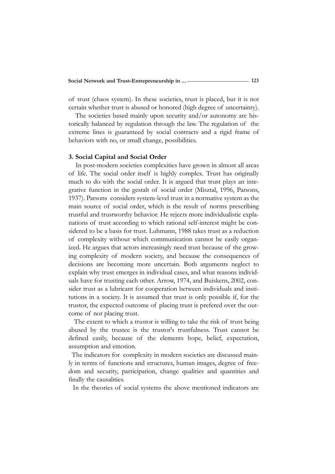of trust (chaos system). In these societies, trust is placed, but it is not certain whether trust is abused or honored (high degree of uncertainty).

The societies based mainly upon security and/or autonomy are historically balanced by regulation through the law. The regulation of the extreme lines is guaranteed by social contracts and a rigid frame of behaviors with no, or small change, possibilities.

## **3. Social Capital and Social Order**

In post-modern societies complexities have grown in almost all areas of life. The social order itself is highly complex. Trust has originally much to do with the social order. It is argued that trust plays an integrative function in the gestalt of social order (Misztal, 1996, Parsons, 1937). Parsons considers system-level trust in a normative system as the main source of social order, which is the result of norms prescribing trustful and trustworthy behavior. He rejects more individualistic explanations of trust according to which rational self-interest might be considered to be a basis for trust. Luhmann, 1988 takes trust as a reduction of complexity without which communication cannot be easily organized. He argues that actors increasingly need trust because of the growing complexity of modern society, and because the consequences of decisions are becoming more uncertain. Both arguments neglect to explain why trust emerges in individual cases, and what reasons individuals have for trusting each other. Arrow, 1974, and Buiskens, 2002, consider trust as a lubricant for cooperation between individuals and institutions in a society. It is assumed that trust is only possible if, for the trustor, the expected outcome of placing trust is prefered over the outcome of not placing trust.

The extent to which a trustor is willing to take the risk of trust being abused by the trustee is the trustor's trustfulness. Trust cannot be defined easily, because of the elements hope, belief, expectation, assumption and emotion.

The indicators for complexity in modern societies are discussed mainly in terms of functions and structures, human images, degree of freedom and security, participation, change qualities and quantities and finally the causalities.

In the theories of social systems the above mentioned indicators are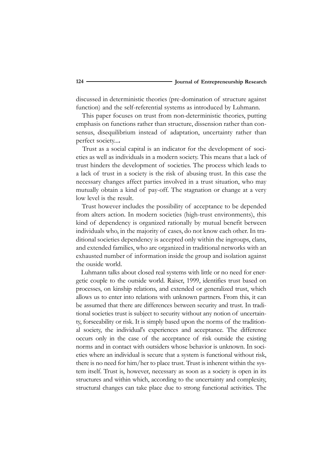discussed in deterministic theories (pre-domination of structure against function) and the self-referential systems as introduced by Luhmann.

This paper focuses on trust from non-deterministic theories, putting emphasis on functions rather than structure, dissension rather than consensus, disequilibrium instead of adaptation, uncertainty rather than perfect society...**.**

Trust as a social capital is an indicator for the development of societies as well as individuals in a modern society. This means that a lack of trust hinders the development of societies. The process which leads to a lack of trust in a society is the risk of abusing trust. In this case the necessary changes affect parties involved in a trust situation, who may mutually obtain a kind of pay-off. The stagnation or change at a very low level is the result.

Trust however includes the possibility of acceptance to be depended from alters action. In modern societies (high-trust environments), this kind of dependency is organized rationally by mutual benefit between individuals who, in the majority of cases, do not know each other. In traditional societies dependency is accepted only within the ingroups, clans, and extended families, who are organized in traditional networks with an exhausted number of information inside the group and isolation against the ouside world.

Luhmann talks about closed real systems with little or no need for energetic couple to the outside world. Raiser, 1999, identifies trust based on processes, on kinship relations, and extended or generalized trust, which allows us to enter into relations with unknown partners. From this, it can be assumed that there are differences between security and trust. In traditional societies trust is subject to security without any notion of uncertainty, forseeability or risk. It is simply based upon the norms of the traditional society, the individual's experiences and acceptance. The difference occurs only in the case of the acceptance of risk outside the existing norms and in contact with outsiders whose behavior is unknown. In societies where an individual is secure that a system is functional without risk, there is no need for him/her to place trust. Trust is inherent within the system itself. Trust is, however, necessary as soon as a society is open in its structures and within which, according to the uncertainty and complexity, structural changes can take place due to strong functional activities. The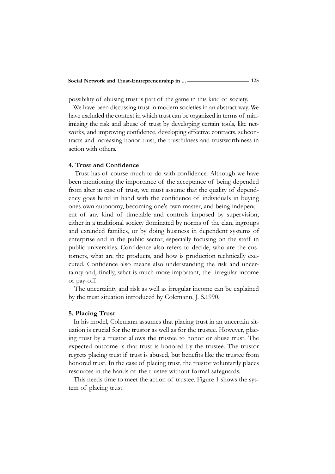possibility of abusing trust is part of the game in this kind of society.

We have been discussing trust in modern societies in an abstract way. We have excluded the context in which trust can be organized in terms of minimizing the risk and abuse of trust by developing certain tools, like networks, and improving confidence, developing effective contracts, subcontracts and increasing honor trust, the trustfulness and trustworthiness in action with others.

## **4. Trust and Confidence**

Trust has of course much to do with confidence. Although we have been mentioning the importance of the acceptance of being depended from alter in case of trust, we must assume that the quality of dependency goes hand in hand with the confidence of individuals in buying ones own autonomy, becoming one's own master, and being independent of any kind of timetable and controls imposed by supervision, either in a traditional society dominated by norms of the clan, ingroups and extended families, or by doing business in dependent systems of enterprise and in the public sector, especially focusing on the staff in public universities. Confidence also refers to decide, who are the customers, what are the products, and how is production technically executed. Confidence also means also understanding the risk and uncertainty and, finally, what is much more important, the irregular income or pay-off.

The uncertainty and risk as well as irregular income can be explained by the trust situation introduced by Colemann, J. S.1990.

#### **5. Placing Trust**

In his model, Colemann assumes that placing trust in an uncertain situation is crucial for the trustor as well as for the trustee. However, placing trust by a trustor allows the trustee to honor or abuse trust. The expected outcome is that trust is honored by the trustee. The trustor regrets placing trust if trust is abused, but benefits like the trustee from honored trust. In the case of placing trust, the trustor voluntarily places resources in the hands of the trustee without formal safeguards.

This needs time to meet the action of trustee. Figure 1 shows the system of placing trust.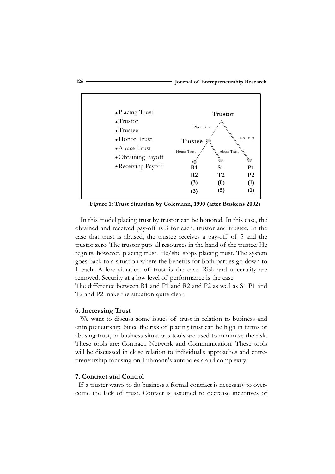

**Figure 1: Trust Situation by Colemann, 1990 (after Buskens 2002)**

In this model placing trust by trustor can be honored. In this case, the obtained and received pay-off is 3 for each, trustor and trustee. In the case that trust is abused, the trustee receives a pay-off of 5 and the trustor zero. The trustor puts all resources in the hand of the trustee. He regrets, however, placing trust. He/she stops placing trust. The system goes back to a situation where the benefits for both parties go down to 1 each. A low situation of trust is the case. Risk and uncertaity are removed. Security at a low level of performance is the case.

The difference between R1 and P1 and R2 and P2 as well as S1 P1 and T2 and P2 make the situation quite clear.

## **6. Increasing Trust**

We want to discuss some issues of trust in relation to business and entrepreneurship. Since the risk of placing trust can be high in terms of abusing trust, in business situations tools are used to minimize the risk. These tools are: Contract, Network and Communication. These tools will be discussed in close relation to individual's approaches and entrepreneurship focusing on Luhmann's autopoiesis and complexity.

#### **7. Contract and Control**

If a truster wants to do business a formal contract is necessary to overcome the lack of trust. Contact is assumed to decrease incentives of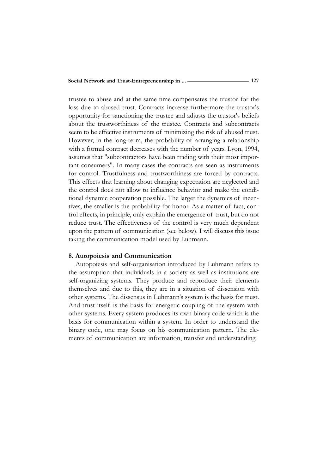trustee to abuse and at the same time compensates the trustor for the loss due to abused trust. Contracts increase furthermore the trustor's opportunity for sanctioning the trustee and adjusts the trustor's beliefs about the trustworthiness of the trustee. Contracts and subcontracts seem to be effective instruments of minimizing the risk of abused trust. However, in the long-term, the probability of arranging a relationship with a formal contract decreases with the number of years. Lyon, 1994, assumes that "subcontractors have been trading with their most important consumers". In many cases the contracts are seen as instruments for control. Trustfulness and trustworthiness are forced by contracts. This effects that learning about changing expectation are neglected and the control does not allow to influence behavior and make the conditional dynamic cooperation possible. The larger the dynamics of incentives, the smaller is the probability for honor. As a matter of fact, control effects, in principle, only explain the emergence of trust, but do not reduce trust. The effectiveness of the control is very much dependent upon the pattern of communication (see below). I will discuss this issue taking the communication model used by Luhmann.

## **8. Autopoiesis and Communication**

Autopoiesis and self-organisation introduced by Luhmann refers to the assumption that individuals in a society as well as institutions are self-organizing systems. They produce and reproduce their elements themselves and due to this, they are in a situation of dissension with other systems. The dissensus in Luhmann's system is the basis for trust. And trust itself is the basis for energetic coupling of the system with other systems. Every system produces its own binary code which is the basis for communication within a system. In order to understand the binary code, one may focus on his communication pattern. The elements of communication are information, transfer and understanding.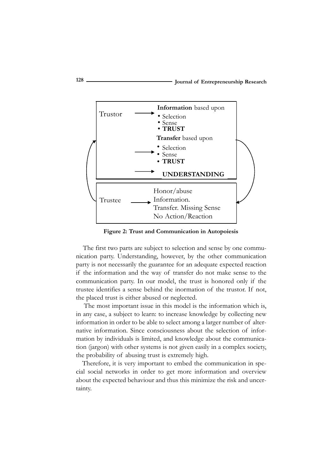

**Figure 2: Trust and Communication in Autopoiesis**

The first two parts are subject to selection and sense by one communication party. Understanding, however, by the other communication party is not necessarily the guarantee for an adequate expected reaction if the information and the way of transfer do not make sense to the communication party. In our model, the trust is honored only if the trustee identifies a sense behind the inormation of the trustor. If not, the placed trust is either abused or neglected.

The most important issue in this model is the information which is, in any case, a subject to learn: to increase knowledge by collecting new information in order to be able to select among a larger number of alternative information. Since consciousness about the selection of information by individuals is limited, and knowledge about the communication (jargon) with other systems is not given easily in a complex society, the probability of abusing trust is extremely high.

Therefore, it is very important to embed the communication in special social networks in order to get more information and overview about the expected behaviour and thus this minimize the risk and uncertainty.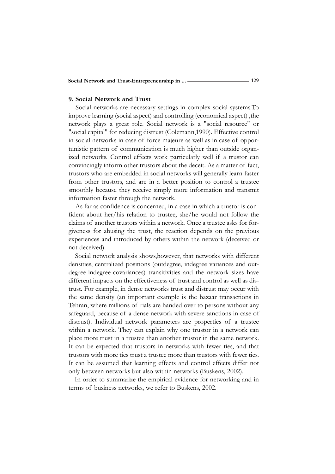#### **9. Social Network and Trust**

Social networks are necessary settings in complex social systems.To improve learning (social aspect) and controlling (economical aspect) ,the network plays a great role. Social network is a "social resource" or "social capital" for reducing distrust (Colemann,1990). Effective control in social networks in case of force majeure as well as in case of opportunistic pattern of communication is much higher than outside organized networks. Control effects work particularly well if a trustor can convincingly inform other trustors about the deceit. As a matter of fact, trustors who are embedded in social networks will generally learn faster from other trustors, and are in a better position to control a trustee smoothly because they receive simply more information and transmit information faster through the network.

As far as confidence is concerned, in a case in which a trustor is confident about her/his relation to trustee, she/he would not follow the claims of another trustors within a network. Once a trustee asks for forgiveness for abusing the trust, the reaction depends on the previous experiences and introduced by others within the network (deceived or not deceived).

Social network analysis shows,however, that networks with different densities, centralized positions (outdegree, indegree variances and outdegree-indegree-covariances) transitivities and the network sizes have different impacts on the effectiveness of trust and control as well as distrust. For example, in dense networks trust and distrust may occur with the same density (an important example is the bazaar transactions in Tehran, where millions of rials are handed over to persons without any safeguard, because of a dense network with severe sanctions in case of distrust). Individual network parameters are properties of a trustee within a network. They can explain why one trustor in a network can place more trust in a trustee than another trustor in the same network. It can be expected that trustors in networks with fewer ties, and that trustors with more ties trust a trustee more than trustors with fewer ties. It can be assumed that learning effects and control effects differ not only between networks but also within networks (Buskens, 2002).

In order to summarize the empirical evidence for networking and in terms of business networks, we refer to Buskens, 2002.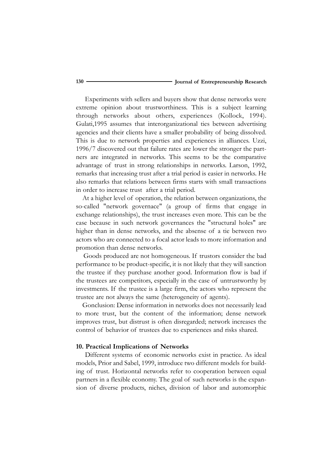Experiments with sellers and buyers show that dense networks were extreme opinion about trustworthiness. This is a subject learning through networks about others, experiences (Kollock, 1994). Gulati,1995 assumes that interorganizational ties between advertising agencies and their clients have a smaller probability of being dissolved. This is due to network properties and experiences in alliances. Uzzi, 1996/7 discovered out that failure rates are lower the stronger the partners are integrated in networks. This seems to be the comparative advantage of trust in strong relationships in networks. Larson, 1992, remarks that increasing trust after a trial period is easier in networks. He also remarks that relations between firms starts with small transactions in order to increase trust after a trial period.

At a higher level of operation, the relation between organizations, the so-called "network governace" (a group of firms that engage in exchange relationships), the trust increases even more. This can be the case because in such network governances the "structural holes" are higher than in dense networks, and the absense of a tie between two actors who are connected to a focal actor leads to more information and promotion than dense networks.

Goods produced are not homogeneous. If trustors consider the bad performance to be product-specific, it is not likely that they will sanction the trustee if they purchase another good. Information flow is bad if the trustees are competitors, especially in the case of untrustworthy by investments. If the trustee is a large firm, the actors who represent the trustee are not always the same (heterogeneity of agents).

Gonclusion: Dense information in networks does not necessarily lead to more trust, but the content of the information; dense network improves trust, but distrust is often disregarded; network increases the control of behavior of trustees due to experiences and risks shared.

#### **10. Practical Implications of Networks**

Different systems of economic networks exist in practice. As ideal models, Prior and Sabel, 1999, introduce two different models for building of trust. Horizontal networks refer to cooperation between equal partners in a flexible economy. The goal of such networks is the expansion of diverse products, niches, division of labor and automorphic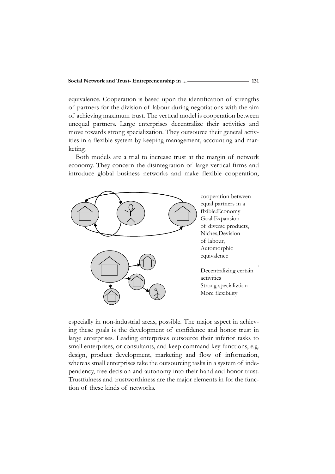equivalence. Cooperation is based upon the identification of strengths of partners for the division of labour during negotiations with the aim of achieving maximum trust. The vertical model is cooperation between unequal partners. Large enterprises decentralize their activities and move towards strong specialization. They outsource their general activities in a flexible system by keeping management, accounting and marketing.

Both models are a trial to increase trust at the margin of network economy. They concern the disintegration of large vertical firms and introduce global business networks and make flexible cooperation,



especially in non-industrial areas, possible. The major aspect in achieving these goals is the development of confidence and honor trust in large enterprises. Leading enterprises outsource their inferior tasks to small enterprises, or consultants, and keep command key functions, e.g. design, product development, marketing and flow of information, whereas small enterprises take the outsourcing tasks in a system of independency, free decision and autonomy into their hand and honor trust. Trustfulness and trustworthiness are the major elements in for the function of these kinds of networks.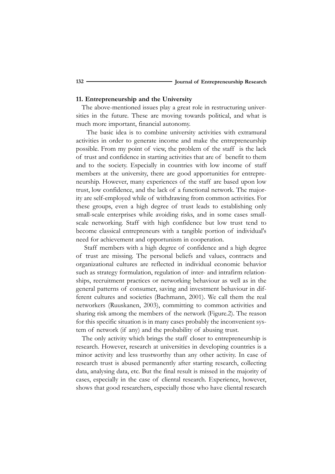#### **11. Entrepreneurship and the University**

The above-mentioned issues play a great role in restructuring universities in the future. These are moving towards political, and what is much more important, financial autonomy.

The basic idea is to combine university activities with extramural activities in order to generate income and make the entrepreneurship possible. From my point of view, the problem of the staff is the lack of trust and confidence in starting activities that are of benefit to them and to the society. Especially in countries with low income of staff members at the university, there are good apportunities for entrepreneurship. However, many experiences of the staff are based upon low trust, low confidence, and the lack of a functional network. The majority are self-employed while of withdrawing from common activities. For these groups, even a high degree of trust leads to establishing only small-scale enterprises while avoiding risks, and in some cases smallscale networking. Staff with high confidence but low trust tend to become classical entrepreneurs with a tangible portion of individual's need for achievement and opportunism in cooperation.

Staff members with a high degree of confidence and a high degree of trust are missing. The personal beliefs and values, contracts and organizational cultures are reflected in individual economic behavior such as strategy formulation, regulation of inter- and intrafirm relationships, recruitment practices or networking behaviour as well as in the general patterns of consumer, saving and investment behaviour in different cultures and societies (Bachmann, 2001). We call them the real networkers (Ruuskanen, 2003), committing to common activities and sharing risk among the members of the network (Figure.2). The reason for this specific situation is in many cases probably the inconvenient system of network (if any) and the probability of abusing trust.

The only activity which brings the staff closer to entrepreneurship is research. However, research at universities in developing countries is a minor activity and less trustworthy than any other activity. In case of research trust is abused permanently after starting research, collecting data, analysing data, etc. But the final result is missed in the majority of cases, especially in the case of cliental research. Experience, however, shows that good researchers, especially those who have cliental research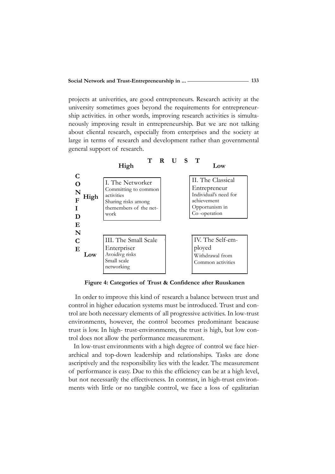projects at univerities, are good entrepreneurs. Research activity at the university sometimes goes beyond the requirements for entrepreneurship activities. in other words, improving research activities is simultaneously improving result in entrepreneurship. But we are not talking about cliental research, especially from enterprises and the society at large in terms of research and development rather than governmental general support of research.



**Figure 4: Categories of Trust & Confidence after Ruuskanen**

In order to improve this kind of research a balance between trust and control in higher education systems must be introduced. Trust and control are both necessary elements of all progressive activities. In low-trust environments, however, the control becomes predominant beacause trust is low. In high- trust-environments, the trust is high, but low control does not allow the performance measurement.

In low-trust environments with a high degree of control we face hierarchical and top-down leadership and relationships. Tasks are done ascriptively and the responsibility lies with the leader. The measurement of performance is easy. Due to this the efficiency can be at a high level, but not necessarily the effectiveness. In contrast, in high-trust environments with little or no tangible control, we face a loss of egalitarian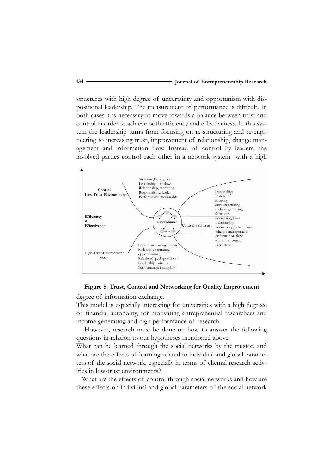structures with high degree of uncertainty and opportunism with dispositional leadership. The measurement of performance is difficult. In both cases it is necessary to move towards a balance between trust and control in order to achieve both efficiency and effectiveness. In this system the leadership turns from focusing on re-structuring and re-engineering to increasing trust, improvement of relationship, change management and information flow. Instead of control by leaders, the involved parties control each other in a network system with a high



**Figure 5: Trust, Control and Networking for Quality Improvement** 

degree of information exchange.

This model is especially interesting for universities with a high degreee of financial autonomy, for motivating entrepreneurial researchers and income generating and high performance of research.

However, research must be done on how to answer the following questions in relation to our hypotheses mentioned above:

What can be learned through the social networks by the trustor, and what are the effects of learning related to indvidual and global parameters of the social network, especially in terms of cliental research activities in low-trust environments?

What are the effects of control through social networks and how are these effects on individual and global parameters of the social network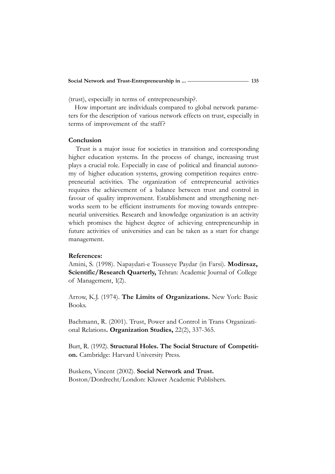(trust), especially in terms of entrepreneurship?.

How important are individuals compared to global network parameters for the description of various network effects on trust, especially in terms of improvement of the staff?

#### **Conclusion**

Trust is a major issue for societies in transition and corresponding higher education systems. In the process of change, increasing trust plays a crucial role. Especially in case of political and financial autonomy of higher education systems, growing competition requires entrepreneurial activities. The organization of entrepreneurial activities requires the achievement of a balance between trust and control in favour of quality improvement. Establishment and strengthening networks seem to be efficient instruments for moving towards entrepreneurial universities. Research and knowledge organization is an activity which promises the highest degree of achieving entrepreneurship in future activities of universities and can be taken as a start for change management.

## **References:**

Amini, S. (1998). Napaydari-e Tousseye Paydar (in Farsi). **Modirsaz, Scientific/Research Quarterly,** Tehran: Academic Journal of College of Management, 1(2).

Arrow, K.J. (1974). **The Limits of Organizations.** New York: Basic Books.

Bachmann, R. (2001). Trust, Power and Control in Trans Organizational Relations**. Organization Studies,** 22(2), 337-365.

Burt, R. (1992). **Structural Holes. The Social Structure of Competition.** Cambridge: Harvard University Press.

Buskens, Vincent (2002). **Social Network and Trust.** Boston/Dordrecht/London: Kluwer Academic Publishers.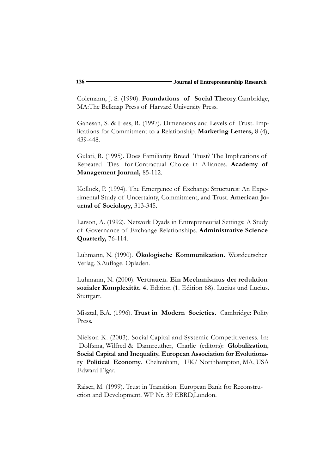Colemann, J. S. (1990). **Foundations of Social Theory**.Cambridge, MA:The Belknap Press of Harvard University Press.

Ganesan, S. & Hess, R. (1997). Dimensions and Levels of Trust. Implications for Commitment to a Relationship. **Marketing Letters,** 8 (4), 439-448.

Gulati, R. (1995). Does Familiarity Breed Trust? The Implications of Repeated Ties for Contractual Choice in Alliances. **Academy of Management Journal,** 85-112.

Kollock, P. (1994). The Emergence of Exchange Structures: An Experimental Study of Uncertainty, Commitment, and Trust. **American Journal of Sociology,** 313-345.

Larson, A. (1992). Network Dyads in Entrepreneurial Settings: A Study of Governance of Exchange Relationships. **Administrative Science Quarterly,** 76-114.

Luhmann, N. (1990). **Ökologische Kommunikation.** Westdeutscher Verlag. 3.Auflage. Opladen.

Luhmann, N. (2000). **Vertrauen. Ein Mechanismus der reduktion sozialer Komplexität. 4.** Edition (1. Edition 68). Lucius und Lucius. Stuttgart.

Misztal, B.A. (1996). **Trust in Modern Societies.** Cambridge: Polity Press.

Nielson K. (2003). Social Capital and Systemic Competitiveness. In: Dolfsma, Wilfred & Dannreuther, Charlie (editors): **Globalization**, **Social Capital and Inequality. European Association for Evolutionary Political Economy**. Cheltenham, UK/ Northhampton, MA, USA Edward Elgar.

Raiser, M. (1999). Trust in Transition. European Bank for Reconstruction and Development. WP Nr. 39 EBRD,London.